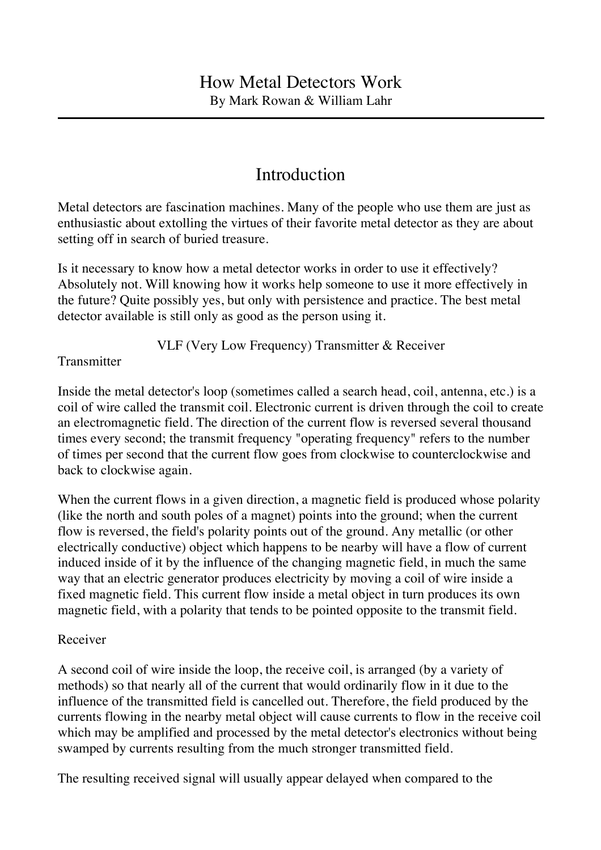# Introduction

Metal detectors are fascination machines. Many of the people who use them are just as enthusiastic about extolling the virtues of their favorite metal detector as they are about setting off in search of buried treasure.

Is it necessary to know how a metal detector works in order to use it effectively? Absolutely not. Will knowing how it works help someone to use it more effectively in the future? Quite possibly yes, but only with persistence and practice. The best metal detector available is still only as good as the person using it.

VLF (Very Low Frequency) Transmitter & Receiver

**Transmitter** 

Inside the metal detector's loop (sometimes called a search head, coil, antenna, etc.) is a coil of wire called the transmit coil. Electronic current is driven through the coil to create an electromagnetic field. The direction of the current flow is reversed several thousand times every second; the transmit frequency "operating frequency" refers to the number of times per second that the current flow goes from clockwise to counterclockwise and back to clockwise again.

When the current flows in a given direction, a magnetic field is produced whose polarity (like the north and south poles of a magnet) points into the ground; when the current flow is reversed, the field's polarity points out of the ground. Any metallic (or other electrically conductive) object which happens to be nearby will have a flow of current induced inside of it by the influence of the changing magnetic field, in much the same way that an electric generator produces electricity by moving a coil of wire inside a fixed magnetic field. This current flow inside a metal object in turn produces its own magnetic field, with a polarity that tends to be pointed opposite to the transmit field.

## Receiver

A second coil of wire inside the loop, the receive coil, is arranged (by a variety of methods) so that nearly all of the current that would ordinarily flow in it due to the influence of the transmitted field is cancelled out. Therefore, the field produced by the currents flowing in the nearby metal object will cause currents to flow in the receive coil which may be amplified and processed by the metal detector's electronics without being swamped by currents resulting from the much stronger transmitted field.

The resulting received signal will usually appear delayed when compared to the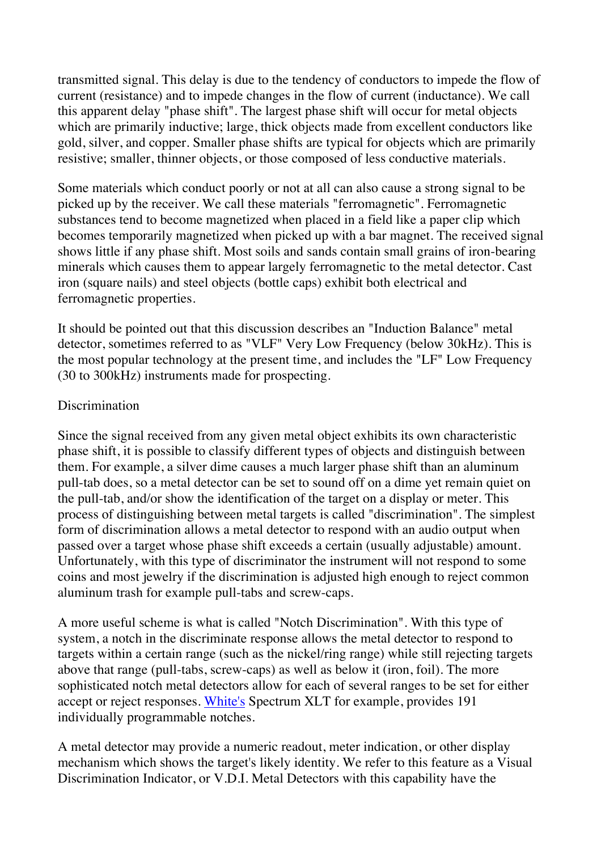transmitted signal. This delay is due to the tendency of conductors to impede the flow of current (resistance) and to impede changes in the flow of current (inductance). We call this apparent delay "phase shift". The largest phase shift will occur for metal objects which are primarily inductive; large, thick objects made from excellent conductors like gold, silver, and copper. Smaller phase shifts are typical for objects which are primarily resistive; smaller, thinner objects, or those composed of less conductive materials.

Some materials which conduct poorly or not at all can also cause a strong signal to be picked up by the receiver. We call these materials "ferromagnetic". Ferromagnetic substances tend to become magnetized when placed in a field like a paper clip which becomes temporarily magnetized when picked up with a bar magnet. The received signal shows little if any phase shift. Most soils and sands contain small grains of iron-bearing minerals which causes them to appear largely ferromagnetic to the metal detector. Cast iron (square nails) and steel objects (bottle caps) exhibit both electrical and ferromagnetic properties.

It should be pointed out that this discussion describes an "Induction Balance" metal detector, sometimes referred to as "VLF" Very Low Frequency (below 30kHz). This is the most popular technology at the present time, and includes the "LF" Low Frequency (30 to 300kHz) instruments made for prospecting.

#### **Discrimination**

Since the signal received from any given metal object exhibits its own characteristic phase shift, it is possible to classify different types of objects and distinguish between them. For example, a silver dime causes a much larger phase shift than an aluminum pull-tab does, so a metal detector can be set to sound off on a dime yet remain quiet on the pull-tab, and/or show the identification of the target on a display or meter. This process of distinguishing between metal targets is called "discrimination". The simplest form of discrimination allows a metal detector to respond with an audio output when passed over a target whose phase shift exceeds a certain (usually adjustable) amount. Unfortunately, with this type of discriminator the instrument will not respond to some coins and most jewelry if the discrimination is adjusted high enough to reject common aluminum trash for example pull-tabs and screw-caps.

A more useful scheme is what is called "Notch Discrimination". With this type of system, a notch in the discriminate response allows the metal detector to respond to targets within a certain range (such as the nickel/ring range) while still rejecting targets above that range (pull-tabs, screw-caps) as well as below it (iron, foil). The more sophisticated notch metal detectors allow for each of several ranges to be set for either accept or reject responses. White's Spectrum XLT for example, provides 191 individually programmable notches.

A metal detector may provide a numeric readout, meter indication, or other display mechanism which shows the target's likely identity. We refer to this feature as a Visual Discrimination Indicator, or V.D.I. Metal Detectors with this capability have the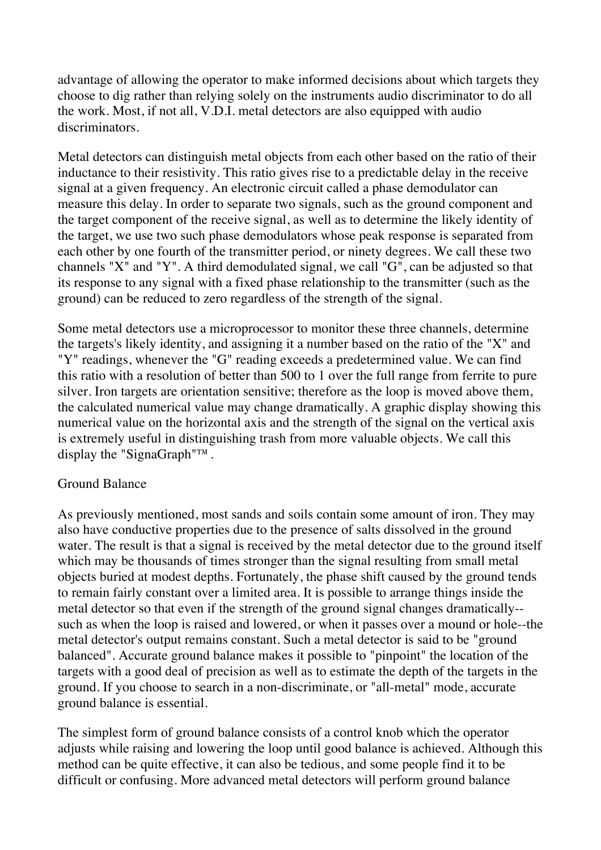advantage of allowing the operator to make informed decisions about which targets they choose to dig rather than relying solely on the instruments audio discriminator to do all the work. Most, if not all, V.D.I. metal detectors are also equipped with audio discriminators.

Metal detectors can distinguish metal objects from each other based on the ratio of their inductance to their resistivity. This ratio gives rise to a predictable delay in the receive signal at a given frequency. An electronic circuit called a phase demodulator can measure this delay. In order to separate two signals, such as the ground component and the target component of the receive signal, as well as to determine the likely identity of the target, we use two such phase demodulators whose peak response is separated from each other by one fourth of the transmitter period, or ninety degrees. We call these two channels "X" and "Y". A third demodulated signal, we call "G", can be adjusted so that its response to any signal with a fixed phase relationship to the transmitter (such as the ground) can be reduced to zero regardless of the strength of the signal.

Some metal detectors use a microprocessor to monitor these three channels, determine the targets's likely identity, and assigning it a number based on the ratio of the "X" and "Y" readings, whenever the "G" reading exceeds a predetermined value. We can find this ratio with a resolution of better than 500 to 1 over the full range from ferrite to pure silver. Iron targets are orientation sensitive; therefore as the loop is moved above them, the calculated numerical value may change dramatically. A graphic display showing this numerical value on the horizontal axis and the strength of the signal on the vertical axis is extremely useful in distinguishing trash from more valuable objects. We call this display the "SignaGraph"™.

## Ground Balance

As previously mentioned, most sands and soils contain some amount of iron. They may also have conductive properties due to the presence of salts dissolved in the ground water. The result is that a signal is received by the metal detector due to the ground itself which may be thousands of times stronger than the signal resulting from small metal objects buried at modest depths. Fortunately, the phase shift caused by the ground tends to remain fairly constant over a limited area. It is possible to arrange things inside the metal detector so that even if the strength of the ground signal changes dramatically- such as when the loop is raised and lowered, or when it passes over a mound or hole--the metal detector's output remains constant. Such a metal detector is said to be "ground balanced". Accurate ground balance makes it possible to "pinpoint" the location of the targets with a good deal of precision as well as to estimate the depth of the targets in the ground. If you choose to search in a non-discriminate, or "all-metal" mode, accurate ground balance is essential.

The simplest form of ground balance consists of a control knob which the operator adjusts while raising and lowering the loop until good balance is achieved. Although this method can be quite effective, it can also be tedious, and some people find it to be difficult or confusing. More advanced metal detectors will perform ground balance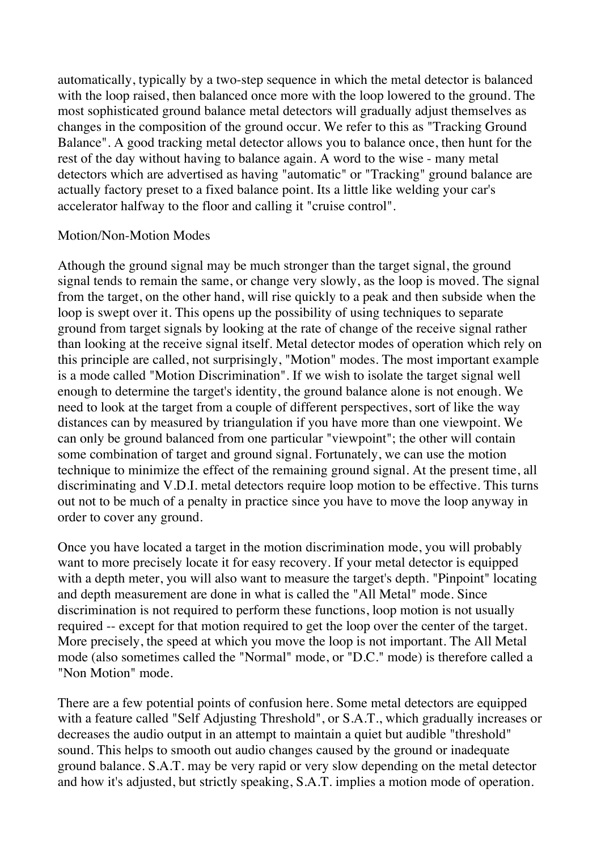automatically, typically by a two-step sequence in which the metal detector is balanced with the loop raised, then balanced once more with the loop lowered to the ground. The most sophisticated ground balance metal detectors will gradually adjust themselves as changes in the composition of the ground occur. We refer to this as "Tracking Ground Balance". A good tracking metal detector allows you to balance once, then hunt for the rest of the day without having to balance again. A word to the wise - many metal detectors which are advertised as having "automatic" or "Tracking" ground balance are actually factory preset to a fixed balance point. Its a little like welding your car's accelerator halfway to the floor and calling it "cruise control".

#### Motion/Non-Motion Modes

Athough the ground signal may be much stronger than the target signal, the ground signal tends to remain the same, or change very slowly, as the loop is moved. The signal from the target, on the other hand, will rise quickly to a peak and then subside when the loop is swept over it. This opens up the possibility of using techniques to separate ground from target signals by looking at the rate of change of the receive signal rather than looking at the receive signal itself. Metal detector modes of operation which rely on this principle are called, not surprisingly, "Motion" modes. The most important example is a mode called "Motion Discrimination". If we wish to isolate the target signal well enough to determine the target's identity, the ground balance alone is not enough. We need to look at the target from a couple of different perspectives, sort of like the way distances can by measured by triangulation if you have more than one viewpoint. We can only be ground balanced from one particular "viewpoint"; the other will contain some combination of target and ground signal. Fortunately, we can use the motion technique to minimize the effect of the remaining ground signal. At the present time, all discriminating and V.D.I. metal detectors require loop motion to be effective. This turns out not to be much of a penalty in practice since you have to move the loop anyway in order to cover any ground.

Once you have located a target in the motion discrimination mode, you will probably want to more precisely locate it for easy recovery. If your metal detector is equipped with a depth meter, you will also want to measure the target's depth. "Pinpoint" locating and depth measurement are done in what is called the "All Metal" mode. Since discrimination is not required to perform these functions, loop motion is not usually required -- except for that motion required to get the loop over the center of the target. More precisely, the speed at which you move the loop is not important. The All Metal mode (also sometimes called the "Normal" mode, or "D.C." mode) is therefore called a "Non Motion" mode.

There are a few potential points of confusion here. Some metal detectors are equipped with a feature called "Self Adjusting Threshold", or S.A.T., which gradually increases or decreases the audio output in an attempt to maintain a quiet but audible "threshold" sound. This helps to smooth out audio changes caused by the ground or inadequate ground balance. S.A.T. may be very rapid or very slow depending on the metal detector and how it's adjusted, but strictly speaking, S.A.T. implies a motion mode of operation.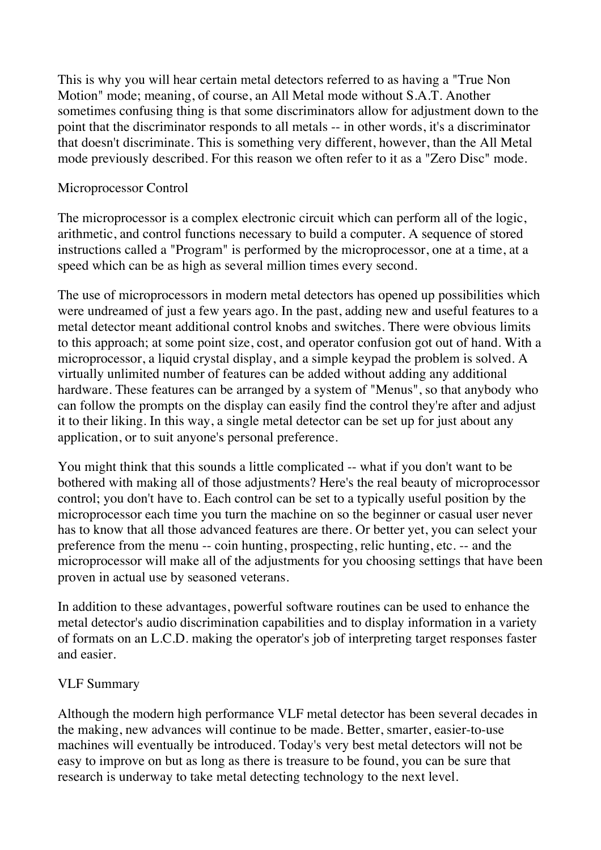This is why you will hear certain metal detectors referred to as having a "True Non Motion" mode; meaning, of course, an All Metal mode without S.A.T. Another sometimes confusing thing is that some discriminators allow for adjustment down to the point that the discriminator responds to all metals -- in other words, it's a discriminator that doesn't discriminate. This is something very different, however, than the All Metal mode previously described. For this reason we often refer to it as a "Zero Disc" mode.

## Microprocessor Control

The microprocessor is a complex electronic circuit which can perform all of the logic, arithmetic, and control functions necessary to build a computer. A sequence of stored instructions called a "Program" is performed by the microprocessor, one at a time, at a speed which can be as high as several million times every second.

The use of microprocessors in modern metal detectors has opened up possibilities which were undreamed of just a few years ago. In the past, adding new and useful features to a metal detector meant additional control knobs and switches. There were obvious limits to this approach; at some point size, cost, and operator confusion got out of hand. With a microprocessor, a liquid crystal display, and a simple keypad the problem is solved. A virtually unlimited number of features can be added without adding any additional hardware. These features can be arranged by a system of "Menus", so that anybody who can follow the prompts on the display can easily find the control they're after and adjust it to their liking. In this way, a single metal detector can be set up for just about any application, or to suit anyone's personal preference.

You might think that this sounds a little complicated -- what if you don't want to be bothered with making all of those adjustments? Here's the real beauty of microprocessor control; you don't have to. Each control can be set to a typically useful position by the microprocessor each time you turn the machine on so the beginner or casual user never has to know that all those advanced features are there. Or better yet, you can select your preference from the menu -- coin hunting, prospecting, relic hunting, etc. -- and the microprocessor will make all of the adjustments for you choosing settings that have been proven in actual use by seasoned veterans.

In addition to these advantages, powerful software routines can be used to enhance the metal detector's audio discrimination capabilities and to display information in a variety of formats on an L.C.D. making the operator's job of interpreting target responses faster and easier.

## VLF Summary

Although the modern high performance VLF metal detector has been several decades in the making, new advances will continue to be made. Better, smarter, easier-to-use machines will eventually be introduced. Today's very best metal detectors will not be easy to improve on but as long as there is treasure to be found, you can be sure that research is underway to take metal detecting technology to the next level.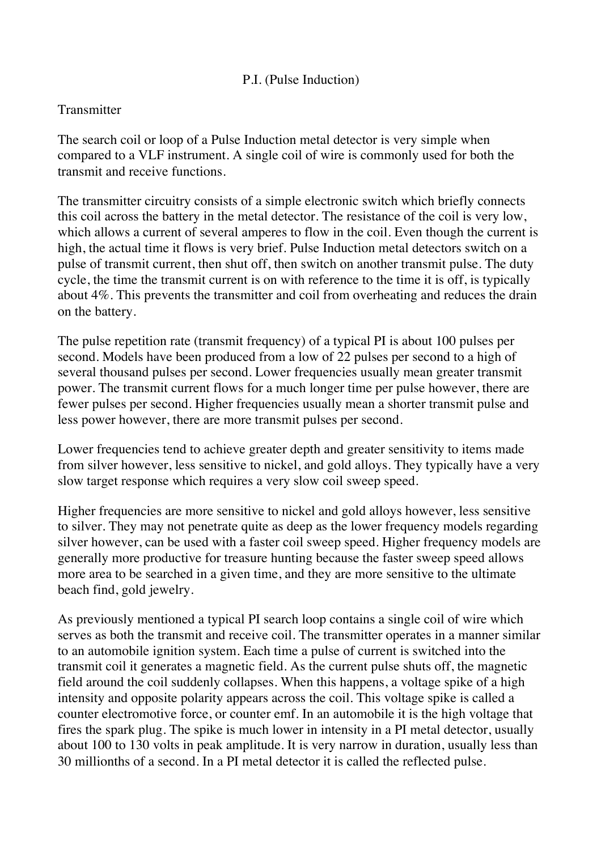## P.I. (Pulse Induction)

#### **Transmitter**

The search coil or loop of a Pulse Induction metal detector is very simple when compared to a VLF instrument. A single coil of wire is commonly used for both the transmit and receive functions.

The transmitter circuitry consists of a simple electronic switch which briefly connects this coil across the battery in the metal detector. The resistance of the coil is very low, which allows a current of several amperes to flow in the coil. Even though the current is high, the actual time it flows is very brief. Pulse Induction metal detectors switch on a pulse of transmit current, then shut off, then switch on another transmit pulse. The duty cycle, the time the transmit current is on with reference to the time it is off, is typically about 4%. This prevents the transmitter and coil from overheating and reduces the drain on the battery.

The pulse repetition rate (transmit frequency) of a typical PI is about 100 pulses per second. Models have been produced from a low of 22 pulses per second to a high of several thousand pulses per second. Lower frequencies usually mean greater transmit power. The transmit current flows for a much longer time per pulse however, there are fewer pulses per second. Higher frequencies usually mean a shorter transmit pulse and less power however, there are more transmit pulses per second.

Lower frequencies tend to achieve greater depth and greater sensitivity to items made from silver however, less sensitive to nickel, and gold alloys. They typically have a very slow target response which requires a very slow coil sweep speed.

Higher frequencies are more sensitive to nickel and gold alloys however, less sensitive to silver. They may not penetrate quite as deep as the lower frequency models regarding silver however, can be used with a faster coil sweep speed. Higher frequency models are generally more productive for treasure hunting because the faster sweep speed allows more area to be searched in a given time, and they are more sensitive to the ultimate beach find, gold jewelry.

As previously mentioned a typical PI search loop contains a single coil of wire which serves as both the transmit and receive coil. The transmitter operates in a manner similar to an automobile ignition system. Each time a pulse of current is switched into the transmit coil it generates a magnetic field. As the current pulse shuts off, the magnetic field around the coil suddenly collapses. When this happens, a voltage spike of a high intensity and opposite polarity appears across the coil. This voltage spike is called a counter electromotive force, or counter emf. In an automobile it is the high voltage that fires the spark plug. The spike is much lower in intensity in a PI metal detector, usually about 100 to 130 volts in peak amplitude. It is very narrow in duration, usually less than 30 millionths of a second. In a PI metal detector it is called the reflected pulse.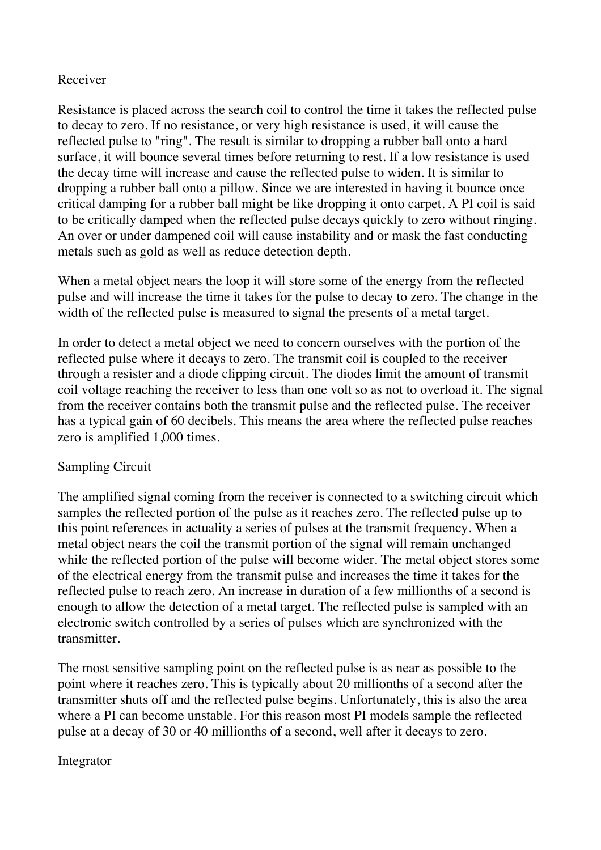### Receiver

Resistance is placed across the search coil to control the time it takes the reflected pulse to decay to zero. If no resistance, or very high resistance is used, it will cause the reflected pulse to "ring". The result is similar to dropping a rubber ball onto a hard surface, it will bounce several times before returning to rest. If a low resistance is used the decay time will increase and cause the reflected pulse to widen. It is similar to dropping a rubber ball onto a pillow. Since we are interested in having it bounce once critical damping for a rubber ball might be like dropping it onto carpet. A PI coil is said to be critically damped when the reflected pulse decays quickly to zero without ringing. An over or under dampened coil will cause instability and or mask the fast conducting metals such as gold as well as reduce detection depth.

When a metal object nears the loop it will store some of the energy from the reflected pulse and will increase the time it takes for the pulse to decay to zero. The change in the width of the reflected pulse is measured to signal the presents of a metal target.

In order to detect a metal object we need to concern ourselves with the portion of the reflected pulse where it decays to zero. The transmit coil is coupled to the receiver through a resister and a diode clipping circuit. The diodes limit the amount of transmit coil voltage reaching the receiver to less than one volt so as not to overload it. The signal from the receiver contains both the transmit pulse and the reflected pulse. The receiver has a typical gain of 60 decibels. This means the area where the reflected pulse reaches zero is amplified 1,000 times.

## Sampling Circuit

The amplified signal coming from the receiver is connected to a switching circuit which samples the reflected portion of the pulse as it reaches zero. The reflected pulse up to this point references in actuality a series of pulses at the transmit frequency. When a metal object nears the coil the transmit portion of the signal will remain unchanged while the reflected portion of the pulse will become wider. The metal object stores some of the electrical energy from the transmit pulse and increases the time it takes for the reflected pulse to reach zero. An increase in duration of a few millionths of a second is enough to allow the detection of a metal target. The reflected pulse is sampled with an electronic switch controlled by a series of pulses which are synchronized with the transmitter.

The most sensitive sampling point on the reflected pulse is as near as possible to the point where it reaches zero. This is typically about 20 millionths of a second after the transmitter shuts off and the reflected pulse begins. Unfortunately, this is also the area where a PI can become unstable. For this reason most PI models sample the reflected pulse at a decay of 30 or 40 millionths of a second, well after it decays to zero.

#### Integrator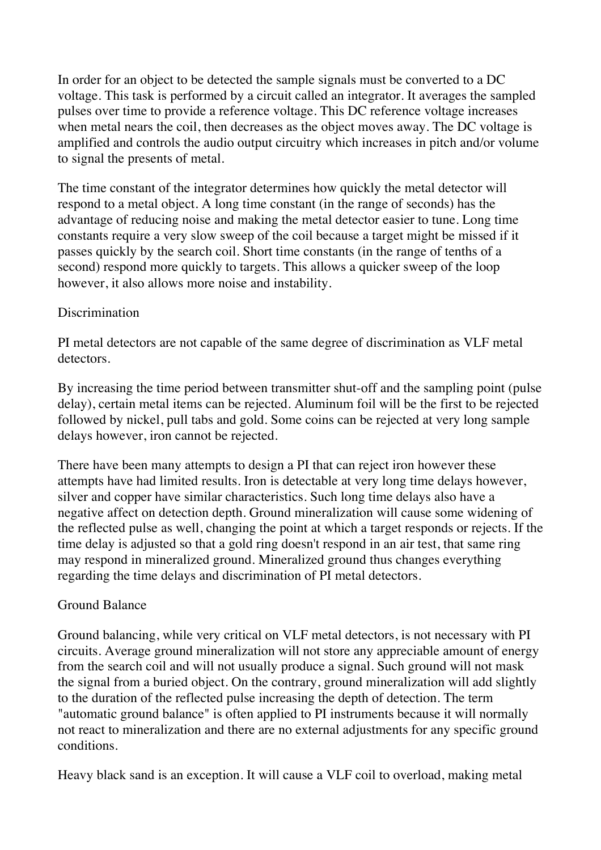In order for an object to be detected the sample signals must be converted to a DC voltage. This task is performed by a circuit called an integrator. It averages the sampled pulses over time to provide a reference voltage. This DC reference voltage increases when metal nears the coil, then decreases as the object moves away. The DC voltage is amplified and controls the audio output circuitry which increases in pitch and/or volume to signal the presents of metal.

The time constant of the integrator determines how quickly the metal detector will respond to a metal object. A long time constant (in the range of seconds) has the advantage of reducing noise and making the metal detector easier to tune. Long time constants require a very slow sweep of the coil because a target might be missed if it passes quickly by the search coil. Short time constants (in the range of tenths of a second) respond more quickly to targets. This allows a quicker sweep of the loop however, it also allows more noise and instability.

## Discrimination

PI metal detectors are not capable of the same degree of discrimination as VLF metal detectors.

By increasing the time period between transmitter shut-off and the sampling point (pulse delay), certain metal items can be rejected. Aluminum foil will be the first to be rejected followed by nickel, pull tabs and gold. Some coins can be rejected at very long sample delays however, iron cannot be rejected.

There have been many attempts to design a PI that can reject iron however these attempts have had limited results. Iron is detectable at very long time delays however, silver and copper have similar characteristics. Such long time delays also have a negative affect on detection depth. Ground mineralization will cause some widening of the reflected pulse as well, changing the point at which a target responds or rejects. If the time delay is adjusted so that a gold ring doesn't respond in an air test, that same ring may respond in mineralized ground. Mineralized ground thus changes everything regarding the time delays and discrimination of PI metal detectors.

#### Ground Balance

Ground balancing, while very critical on VLF metal detectors, is not necessary with PI circuits. Average ground mineralization will not store any appreciable amount of energy from the search coil and will not usually produce a signal. Such ground will not mask the signal from a buried object. On the contrary, ground mineralization will add slightly to the duration of the reflected pulse increasing the depth of detection. The term "automatic ground balance" is often applied to PI instruments because it will normally not react to mineralization and there are no external adjustments for any specific ground conditions.

Heavy black sand is an exception. It will cause a VLF coil to overload, making metal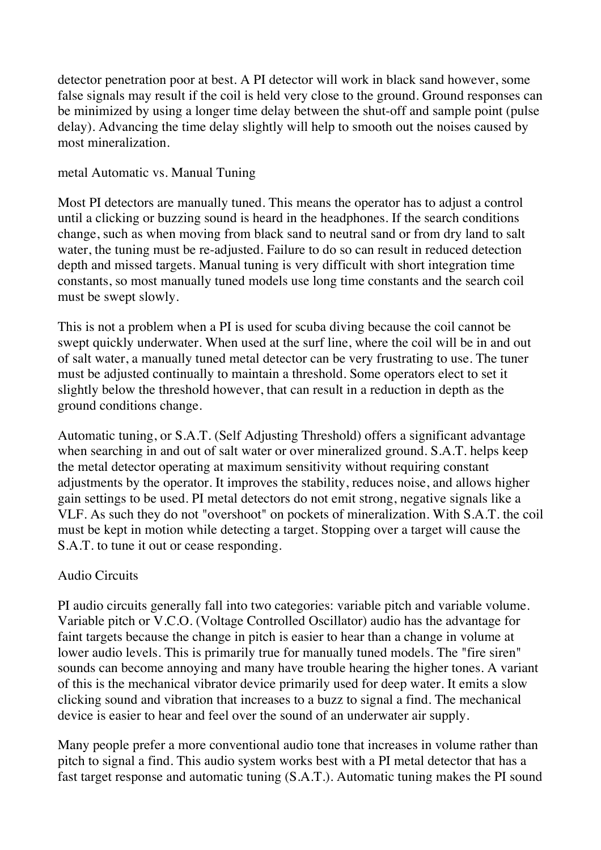detector penetration poor at best. A PI detector will work in black sand however, some false signals may result if the coil is held very close to the ground. Ground responses can be minimized by using a longer time delay between the shut-off and sample point (pulse delay). Advancing the time delay slightly will help to smooth out the noises caused by most mineralization.

## metal Automatic vs. Manual Tuning

Most PI detectors are manually tuned. This means the operator has to adjust a control until a clicking or buzzing sound is heard in the headphones. If the search conditions change, such as when moving from black sand to neutral sand or from dry land to salt water, the tuning must be re-adjusted. Failure to do so can result in reduced detection depth and missed targets. Manual tuning is very difficult with short integration time constants, so most manually tuned models use long time constants and the search coil must be swept slowly.

This is not a problem when a PI is used for scuba diving because the coil cannot be swept quickly underwater. When used at the surf line, where the coil will be in and out of salt water, a manually tuned metal detector can be very frustrating to use. The tuner must be adjusted continually to maintain a threshold. Some operators elect to set it slightly below the threshold however, that can result in a reduction in depth as the ground conditions change.

Automatic tuning, or S.A.T. (Self Adjusting Threshold) offers a significant advantage when searching in and out of salt water or over mineralized ground. S.A.T. helps keep the metal detector operating at maximum sensitivity without requiring constant adjustments by the operator. It improves the stability, reduces noise, and allows higher gain settings to be used. PI metal detectors do not emit strong, negative signals like a VLF. As such they do not "overshoot" on pockets of mineralization. With S.A.T. the coil must be kept in motion while detecting a target. Stopping over a target will cause the S.A.T. to tune it out or cease responding.

## Audio Circuits

PI audio circuits generally fall into two categories: variable pitch and variable volume. Variable pitch or V.C.O. (Voltage Controlled Oscillator) audio has the advantage for faint targets because the change in pitch is easier to hear than a change in volume at lower audio levels. This is primarily true for manually tuned models. The "fire siren" sounds can become annoying and many have trouble hearing the higher tones. A variant of this is the mechanical vibrator device primarily used for deep water. It emits a slow clicking sound and vibration that increases to a buzz to signal a find. The mechanical device is easier to hear and feel over the sound of an underwater air supply.

Many people prefer a more conventional audio tone that increases in volume rather than pitch to signal a find. This audio system works best with a PI metal detector that has a fast target response and automatic tuning (S.A.T.). Automatic tuning makes the PI sound